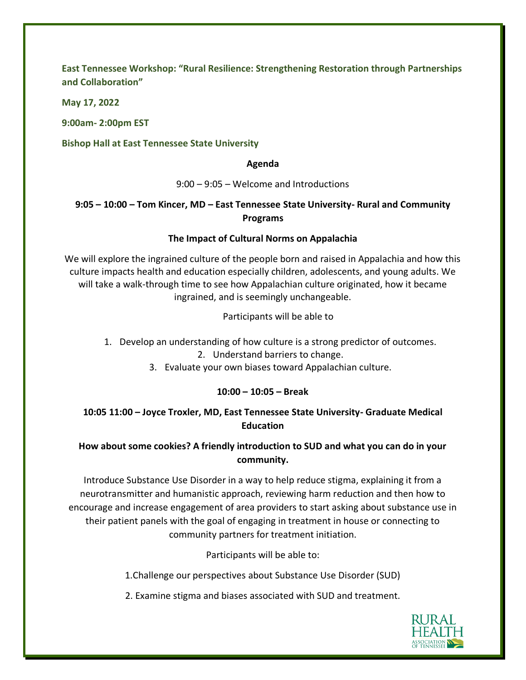**East Tennessee Workshop: "Rural Resilience: Strengthening Restoration through Partnerships and Collaboration"**

**May 17, 2022**

**9:00am- 2:00pm EST**

**Bishop Hall at East Tennessee State University**

#### **Agenda**

9:00 – 9:05 – Welcome and Introductions

# **9:05 – 10:00 – Tom Kincer, MD – East Tennessee State University- Rural and Community Programs**

## **The Impact of Cultural Norms on Appalachia**

We will explore the ingrained culture of the people born and raised in Appalachia and how this culture impacts health and education especially children, adolescents, and young adults. We will take a walk-through time to see how Appalachian culture originated, how it became ingrained, and is seemingly unchangeable.

Participants will be able to

- 1. Develop an understanding of how culture is a strong predictor of outcomes. 2. Understand barriers to change.
	- 3. Evaluate your own biases toward Appalachian culture.

## **10:00 – 10:05 – Break**

## **10:05 11:00 – Joyce Troxler, MD, East Tennessee State University- Graduate Medical Education**

## **How about some cookies? A friendly introduction to SUD and what you can do in your community.**

Introduce Substance Use Disorder in a way to help reduce stigma, explaining it from a neurotransmitter and humanistic approach, reviewing harm reduction and then how to encourage and increase engagement of area providers to start asking about substance use in their patient panels with the goal of engaging in treatment in house or connecting to community partners for treatment initiation.

Participants will be able to:

1.Challenge our perspectives about Substance Use Disorder (SUD)

2. Examine stigma and biases associated with SUD and treatment.